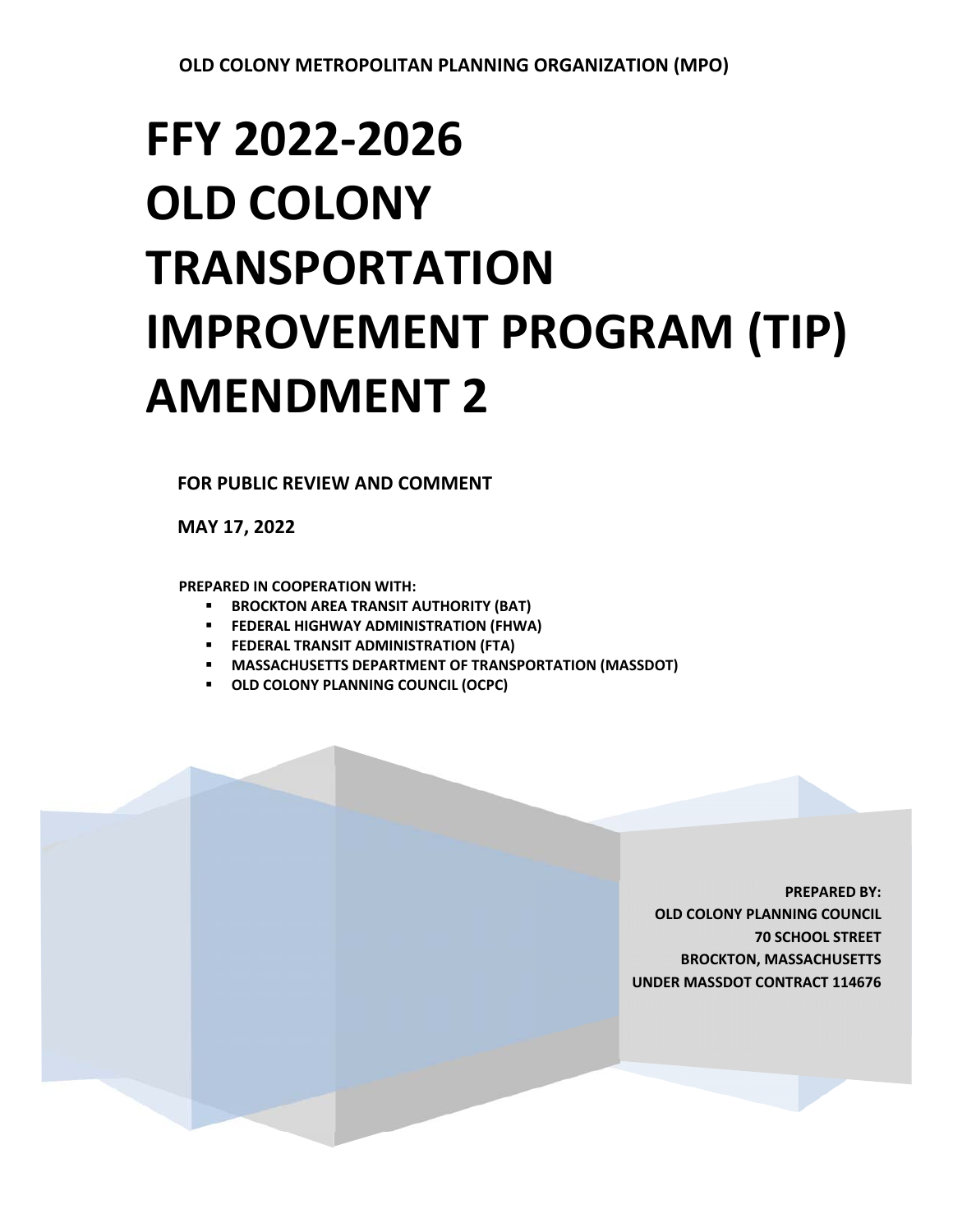## **FFY 2022‐2026 OLD COLONY TRANSPORTATION IMPROVEMENT PROGRAM (TIP) AMENDMENT 2**

**FOR PUBLIC REVIEW AND COMMENT** 

**MAY 17, 2022** 

**PREPARED IN COOPERATION WITH:** 

- **BROCKTON AREA TRANSIT AUTHORITY (BAT)**
- **FEDERAL HIGHWAY ADMINISTRATION (FHWA)**
- **FEDERAL TRANSIT ADMINISTRATION (FTA)**
- **MASSACHUSETTS DEPARTMENT OF TRANSPORTATION (MASSDOT)**
- **OLD COLONY PLANNING COUNCIL (OCPC)**

**PREPARED BY: OLD COLONY PLANNING COUNCIL 70 SCHOOL STREET BROCKTON, MASSACHUSETTS UNDER MASSDOT CONTRACT 114676**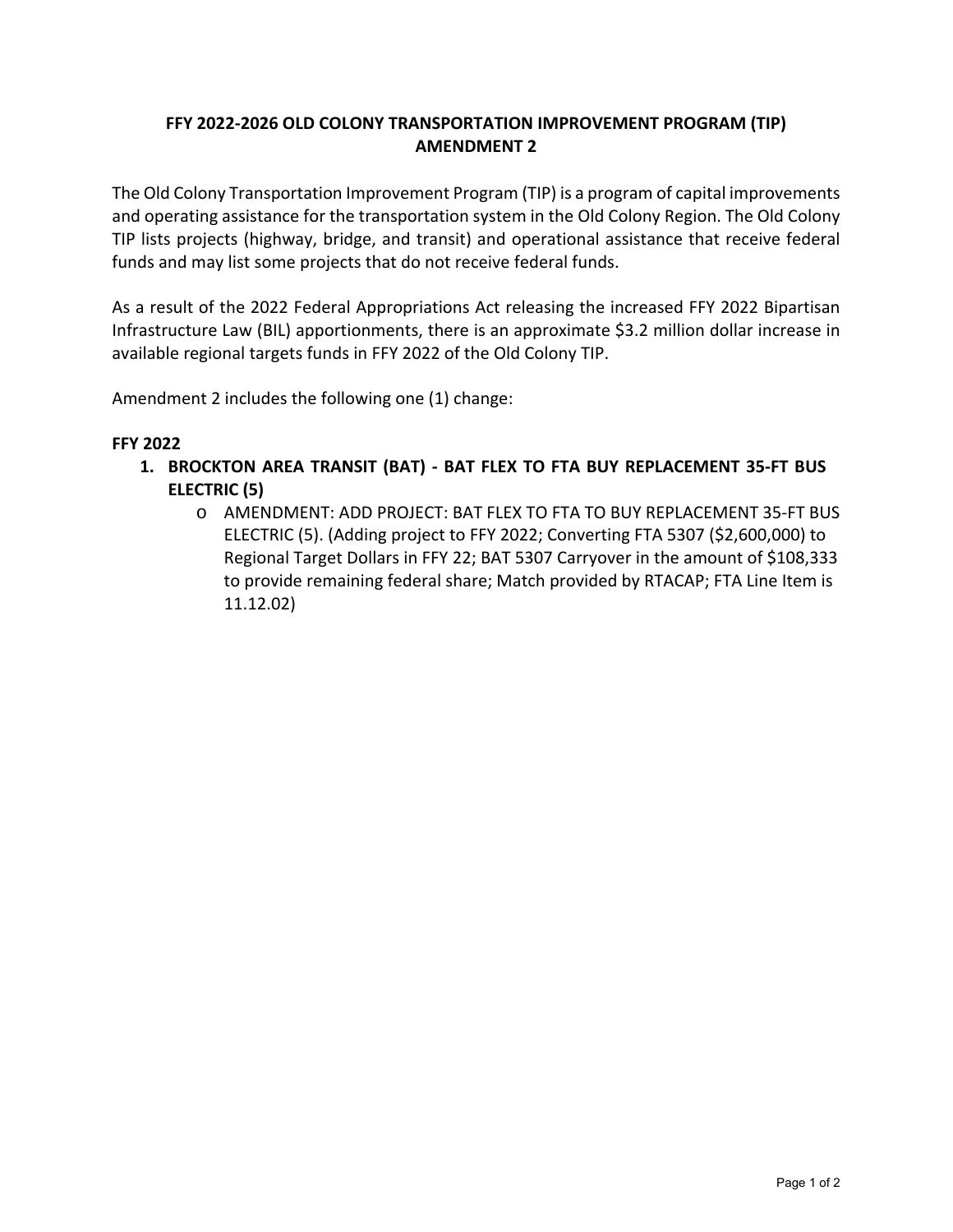## **FFY 2022‐2026 OLD COLONY TRANSPORTATION IMPROVEMENT PROGRAM (TIP) AMENDMENT 2**

The Old Colony Transportation Improvement Program (TIP) is a program of capital improvements and operating assistance for the transportation system in the Old Colony Region. The Old Colony TIP lists projects (highway, bridge, and transit) and operational assistance that receive federal funds and may list some projects that do not receive federal funds.

As a result of the 2022 Federal Appropriations Act releasing the increased FFY 2022 Bipartisan Infrastructure Law (BIL) apportionments, there is an approximate \$3.2 million dollar increase in available regional targets funds in FFY 2022 of the Old Colony TIP.

Amendment 2 includes the following one (1) change:

## **FFY 2022**

- **1. BROCKTON AREA TRANSIT (BAT) ‐ BAT FLEX TO FTA BUY REPLACEMENT 35‐FT BUS ELECTRIC (5)** 
	- o AMENDMENT: ADD PROJECT: BAT FLEX TO FTA TO BUY REPLACEMENT 35‐FT BUS ELECTRIC (5). (Adding project to FFY 2022; Converting FTA 5307 (\$2,600,000) to Regional Target Dollars in FFY 22; BAT 5307 Carryover in the amount of \$108,333 to provide remaining federal share; Match provided by RTACAP; FTA Line Item is 11.12.02)